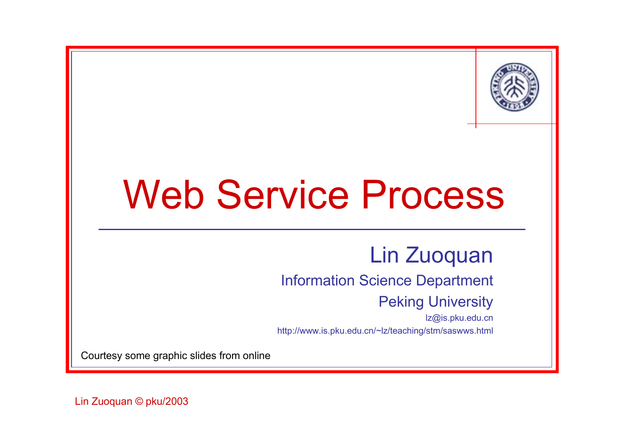

# Web Service Process

#### Lin Zuoquan

#### Information Science Department

#### Peking University

lz@is.pku.edu.cn http://www.is.pku.edu.cn/~lz/teaching/stm/saswws.html

Courtesy some graphic slides from online

Lin Zuoquan © pku/2003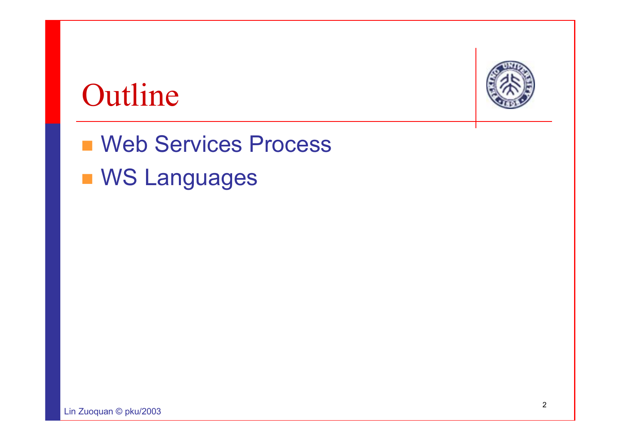#### Outline

**Neb Services Process NS Languages**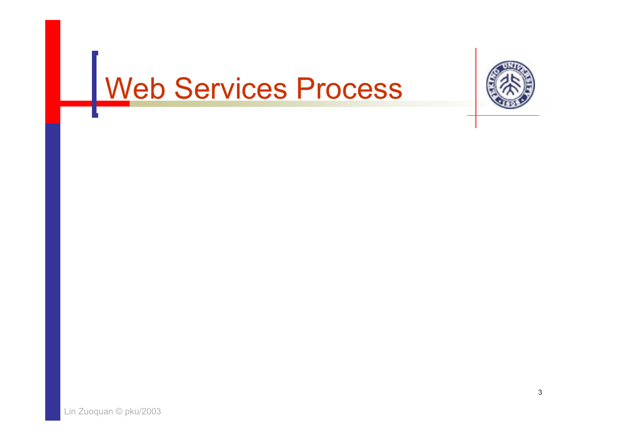# Web Services Process

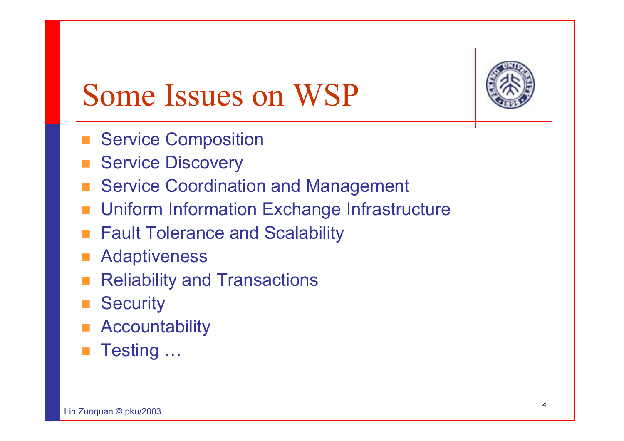

# Some Issues on WSP

- **Service Composition**
- Service Discovery
- Service Coordination and Management
- Uniform Information Exchange Infrastructure
- **Fault Tolerance and Scalability**
- Adaptiveness
- Reliability and Transactions
- **Security**
- **Accountability**
- $\Box$ Testing …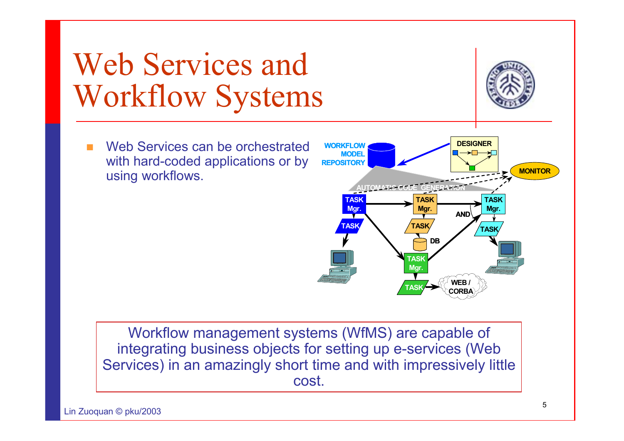## Web Services and Workflow Systems

π Web Services can be orchestrated with hard-coded applications or by using workflows.

Workflow management systems (WfMS) are capable of integrating business objects for setting up e-services (Web Services) in an amazingly short time and with impressively little cost.



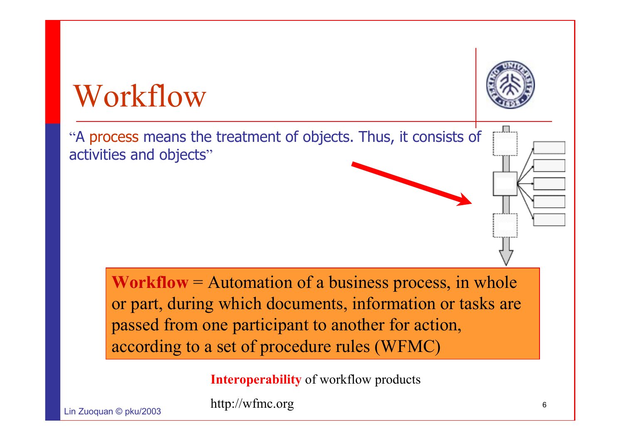

**Workflow** = Automation of a business process, in whole or part, during which documents, information or tasks are passed from one participant to another for action, according to a set of procedure rules (WFMC)

**Interoperability** of workflow products

 $L: \mathbb{Z} \longrightarrow \mathbb{Z}$  and  $R$ 

http://wfmc.org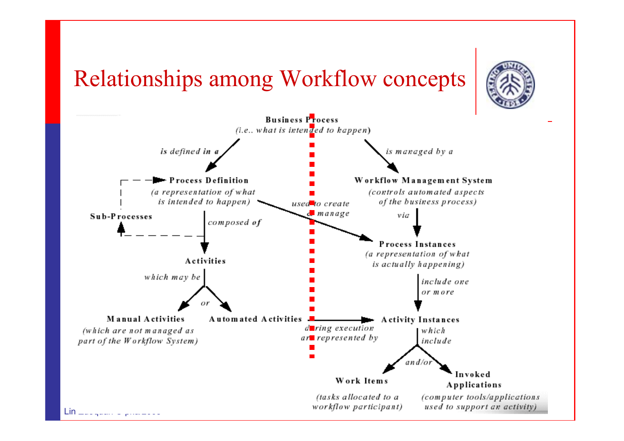#### Relationships among Workflow concepts



used to support an activity)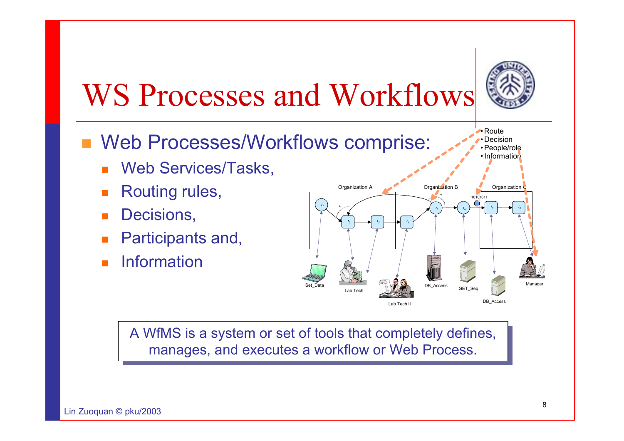

•Route• Decision • People/role

# WS Processes and Workflows

- **Neb Processes/Workflows comprise:** 
	- Web Services/Tasks,
	- П Routing rules,
	- П Decisions,
	- Participants and,
	- Information



A WfMS is a system or set of tools that completely defines, A WfMS is a system or set of tools that completely defines, manages, and executes a workflow or Web Process. manages, and executes a workflow or Web Process.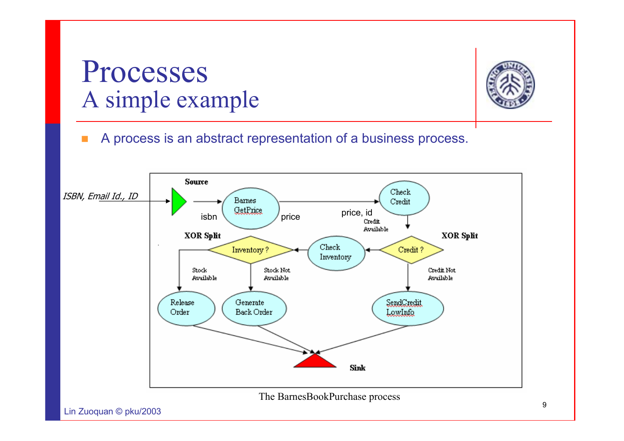#### Processes A simple example



A process is an abstract representation of a business process.

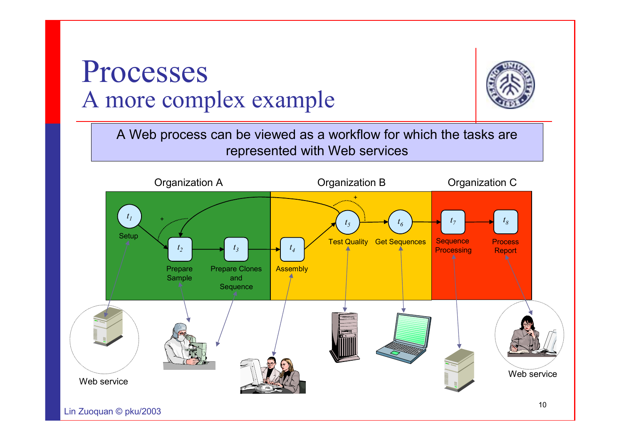#### Processes A more complex example

A Web process can be viewed as a workflow for which the tasks are represented with Web services



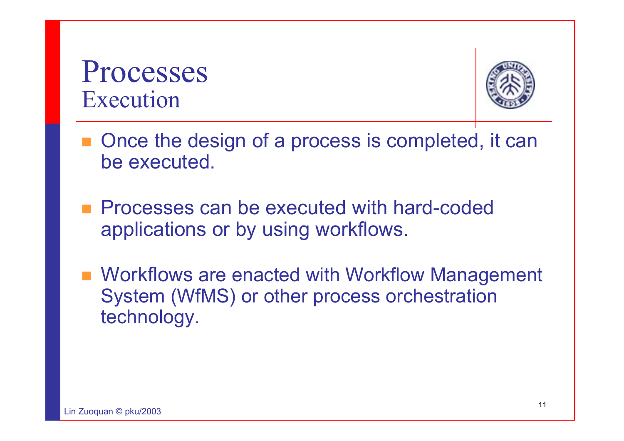Processes Execution



- Once the design of a process is completed, it can be executed.
- **Processes can be executed with hard-coded** applications or by using workflows.
- **Norkflows are enacted with Workflow Management** System (WfMS) or other process orchestration technology.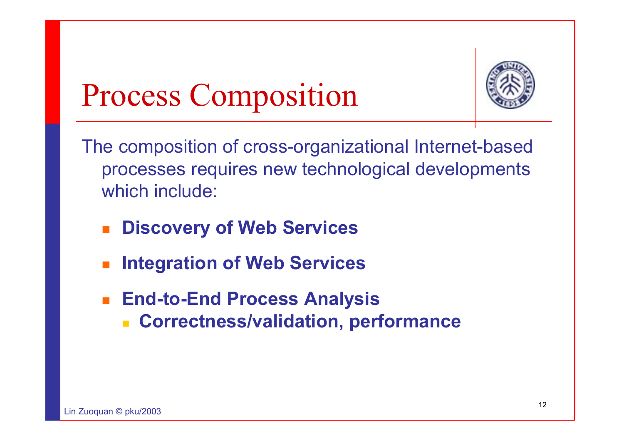

# Process Composition

The composition of cross-organizational Internet-based processes requires new technological developments which include:

- **Discovery of Web Services**
- M. **Integration of Web Services**
- $\mathbf{r}$  **End-to-End Process Analysis**
	- **Correctness/validation, performance**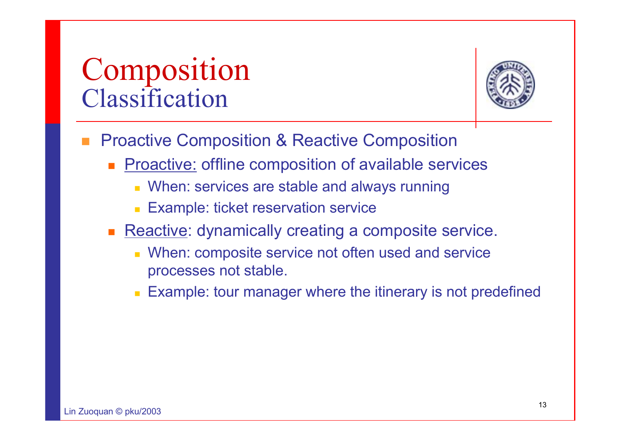#### Composition Classification



- П Proactive Composition & Reactive Composition
	- **Proactive: offline composition of available services** 
		- When: services are stable and always running
		- **Example: ticket reservation service**
	- Reactive: dynamically creating a composite service.
		- When: composite service not often used and service processes not stable.
		- Example: tour manager where the itinerary is not predefined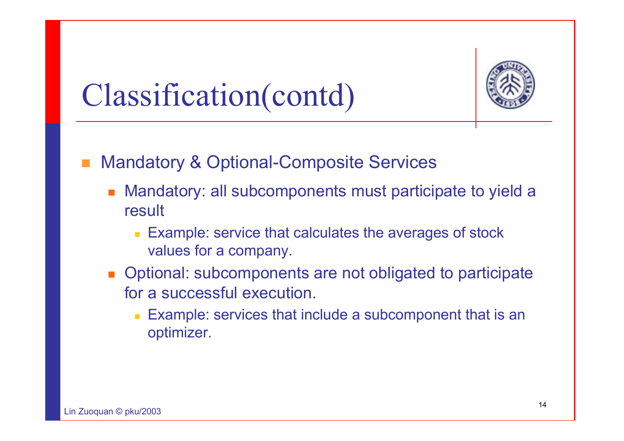

## Classification(contd)

#### Mandatory & Optional-Composite Services

- Mandatory: all subcomponents must participate to yield a result
	- Example: service that calculates the averages of stock values for a company.
- **Deparaded Deptional:** subcomponents are not obligated to participate for a successful execution.
	- Example: services that include a subcomponent that is an optimizer.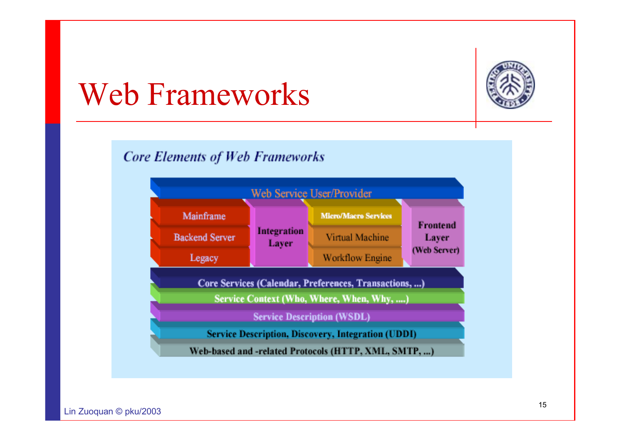

### Web Frameworks

#### **Core Elements of Web Frameworks**

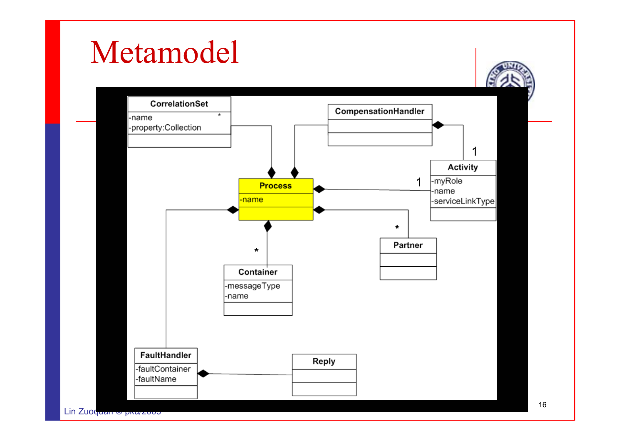#### Metamodel

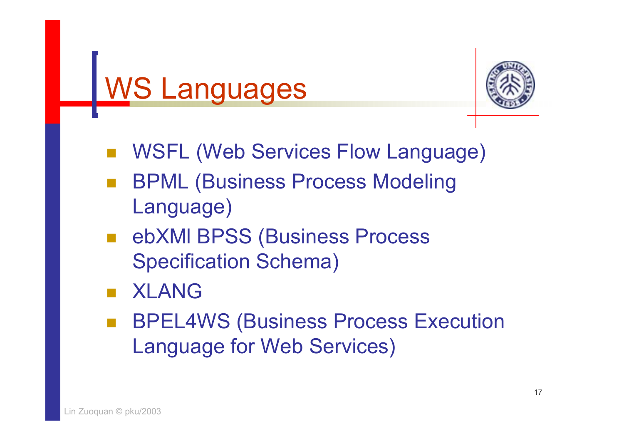



- WSFL (Web Services Flow Language)
- BPML (Business Process Modeling Language)
- ebXMI BPSS (Business Process Specification Schema)
- XLANG
- BPEL4WS (Business Process Execution Language for Web Services)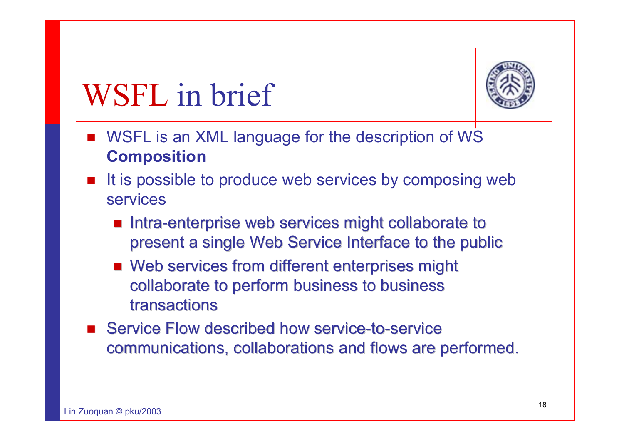

# WSFL in brief

- WSFL is an XML language for the description of WS **Composition**
- It is possible to produce web services by composing web services
	- a. Intra-enterprise web services might collaborate to present a single Web Service Interface to the public
	- Web services from different enterprises might collaborate to perform business to business collaborate to perform business to business transactions
- **Service Flow described how service-to-service Flow described how service-to-service** communications, collaborations and flows are performed.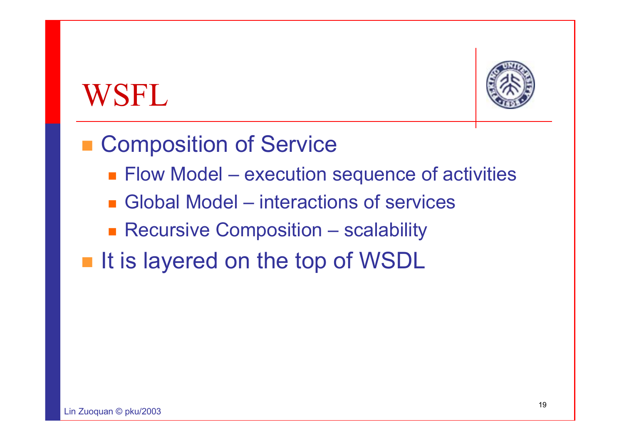### WSFL



■ Composition of Service

- Flow Model execution sequence of activities
- Global Model interactions of services
- **Recursive Composition scalability**
- **If is layered on the top of WSDL**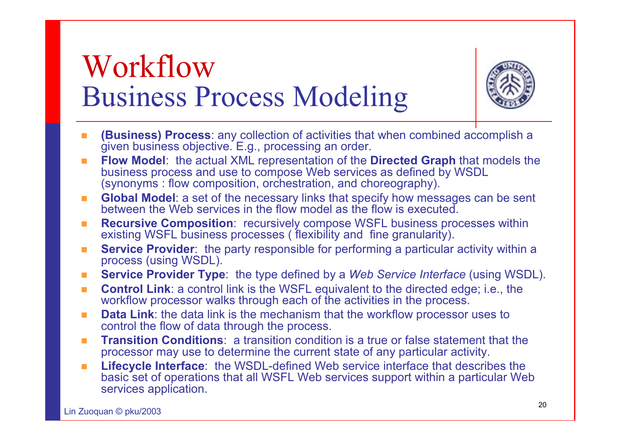#### Workflow Business Process Modeling



- **(Business) Process**: any collection of activities that when combined accomplish a given business objective. E.g., processing an order.
- $\mathbf{r}$  **Flow Model**: the actual XML representation of the **Directed Graph** that models the business process and use to compose Web services as defined by WSDL (synonyms : flow composition, orchestration, and choreography).
- $\mathcal{L}_{\mathcal{A}}$  **Global Model**: a set of the necessary links that specify how messages can be sent between the Web services in the flow model as the flow is executed.
- п **Recursive Composition**: recursively compose WSFL business processes within existing WSFL business processes ( flexibility and fine granularity).
- $\mathcal{L}_{\mathcal{A}}$ **Service Provider:** the party responsible for performing a particular activity within a process (using WSDL).
- $\mathcal{L}_{\mathcal{A}}$ **Service Provider Type**: the type defined by a *Web Service Interface* (using WSDL).
- $\mathbf{r}$  **Control Link**: a control link is the WSFL equivalent to the directed edge; i.e., the workflow processor walks through each of the activities in the process.
- $\blacksquare$  **Data Link**: the data link is the mechanism that the workflow processor uses to control the flow of data through the process.
- $\mathcal{L}_{\mathcal{A}}$  **Transition Conditions**: a transition condition is a true or false statement that the processor may use to determine the current state of any particular activity.
- $\mathbf{r}$  **Lifecycle Interface**: the WSDL-defined Web service interface that describes the basic set of operations that all WSFL Web services support within a particular Web services application.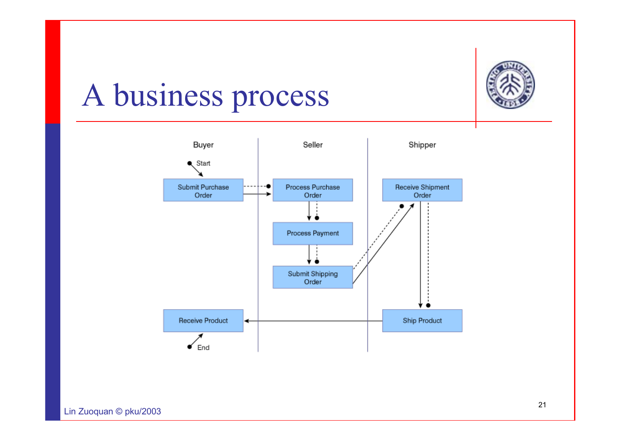

## A business process

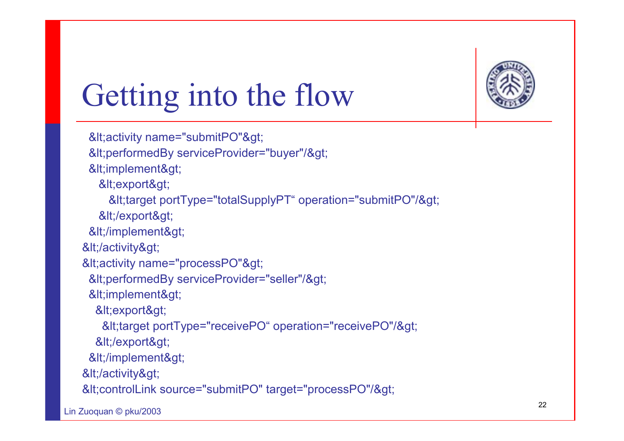

# Getting into the flow

```
&It; activity name="submitPO">
 &It; performedBy serviceProvider="buyer"/>
 &It;implement>
   &It; export>
    <target portType="totalSupplyPT" operation="submitPO"/&gt;
   </export&gt;
 </implement&gt;
</activity&gt;
&It; activity name="processPO">
 &It;performedBy serviceProvider="seller"/>
 &It;implement>
  &It; export>
   <target portType="receivePO" operation="receivePO"/&gt;
  </export&gt;
 </implement&gt;
&It;/activity>
&It; controlLink source="submitPO" target="processPO"/>
```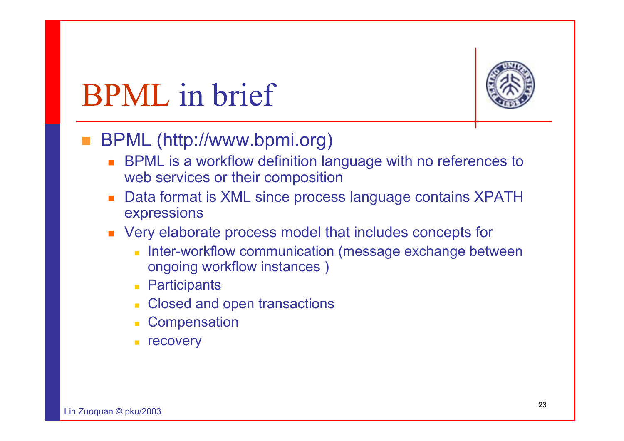

## BPML in brief

#### **Service Service** BPML (http://www.bpmi.org)

- BPML is a workflow definition language with no references to web services or their composition
- П Data format is XML since process language contains XPATH expressions
- **Very elaborate process model that includes concepts for** 
	- $\mathbf{r}$  Inter-workflow communication (message exchange between ongoing workflow instances )
	- **Participants**
	- Closed and open transactions
	- **Compensation**
	- recovery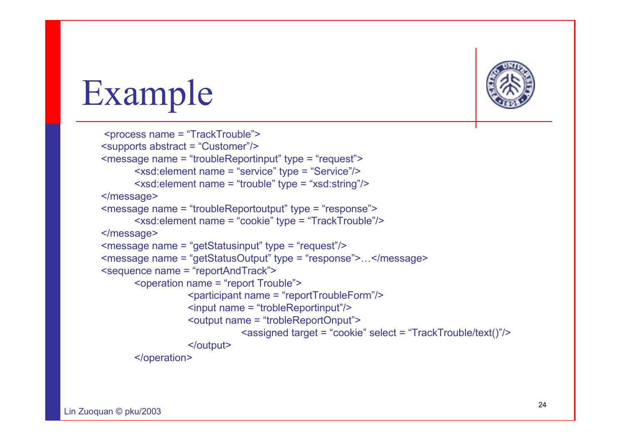

# Example

```
<process name = "TrackTrouble">
<supports abstract = "Customer"/>
<message name = "troubleReportinput" type = "request">
      <xsd:element name = "service" type = "Service"/>
      <xsd:element name = "trouble" type = "xsd:string"/>
</message>
<message name = "troubleReportoutput" type = "response">
      <xsd:element name = "cookie" type = "TrackTrouble"/>
</message>
<message name = "getStatusinput" type = "request"/>
<message name = "getStatusOutput" type = "response">…</message>
<sequence name = "reportAndTrack">
      <operation name = "report Trouble">
                  <participant name = "reportTroubleForm"/>
                  <input name = "trobleReportinput"/>
                  <output name = "trobleReportOnput">
                             <assigned target = "cookie" select = "TrackTrouble/text()"/>
                  </output>
      </operation>
```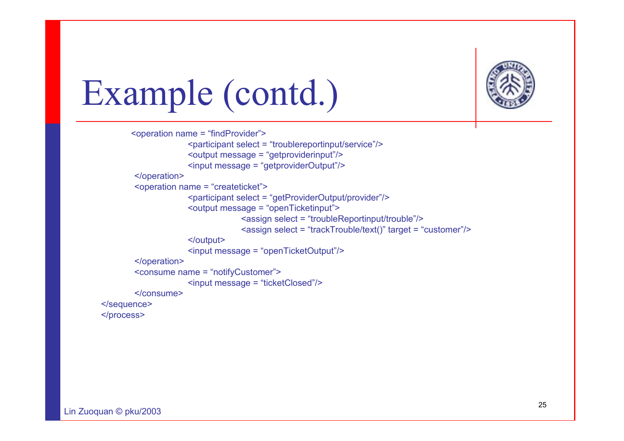

# Example (contd.)

```
<operation name = "findProvider">
                     <participant select = "troublereportinput/service"/>
                     <output message = "getproviderinput"/>
                     <input message = "getproviderOutput"/>
        </operation>
        <operation name = "createticket">
                     <participant select = "getProviderOutput/provider"/>
                     <output message = "openTicketinput">
                                  <assign select = "troubleReportinput/trouble"/>
                                  <assign select = "trackTrouble/text()" target = "customer"/>
                     </output>
                     <input message = "openTicketOutput"/>
        </operation>
        <consume name = "notifyCustomer">
                     <input message = "ticketClosed"/>
        </consume></sequence>
</process>
```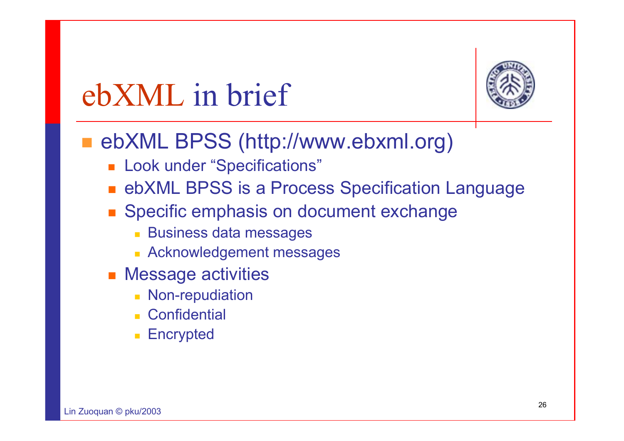

# ebXML in brief

#### ■ ebXML BPSS (http://www.ebxml.org)

- Look under "Specifications"
- ebXML BPSS is a Process Specification Language
- **Specific emphasis on document exchange** 
	- Business data messages
	- Acknowledgement messages
- **Nessage activities** 
	- Non-repudiation
	- **Confidential**
	- **Encrypted**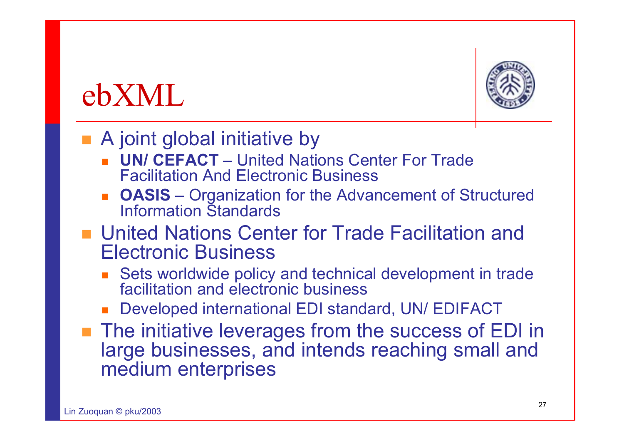#### ebXML



#### ■ A joint global initiative by

- **UN/ CEFACT** United Nations Center For Trade Facilitation And Electronic Business
- **DASIS** Organization for the Advancement of Structured Information Standards
- United Nations Center for Trade Facilitation and Electronic Business
	- Sets worldwide policy and technical development in trade facilitation and electronic business
	- Developed international EDI standard, UN/ EDIFACT
- The initiative leverages from the success of EDI in large businesses, and intends reaching small and medium enterprises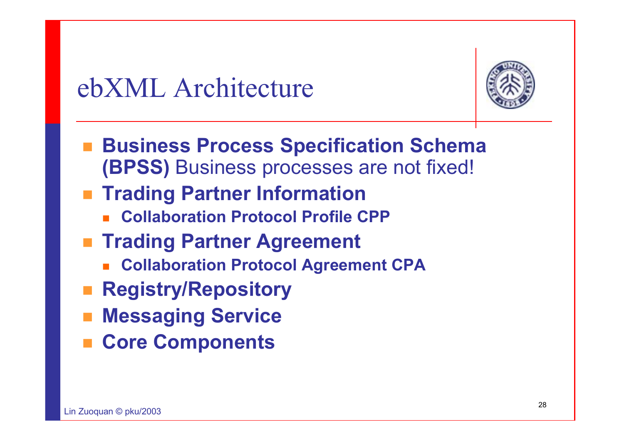#### ebXML Architecture



- **Business Process Specification Schema (BPSS)** Business processes are not fixed!
- **Trading Partner Information** 
	- П **Collaboration Protocol Profile CPP**
- **Trading Partner Agreement** 
	- П **Collaboration Protocol Agreement CPA**
- **Registry/Repository**
- **Messaging Service**
- **Core Components**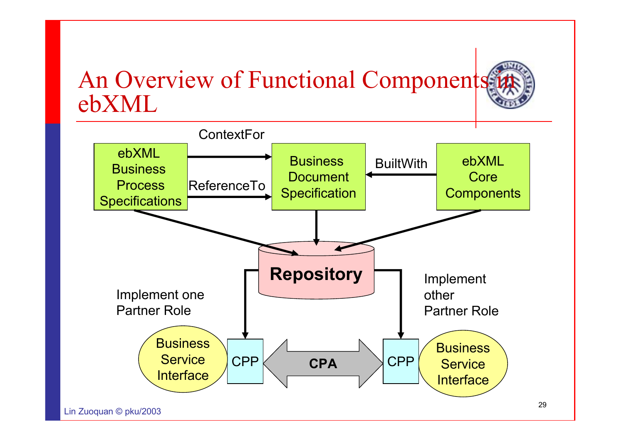#### An Overview of Functional Components ebXML

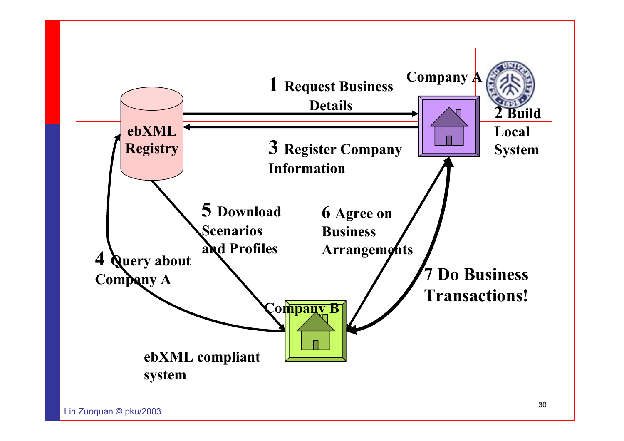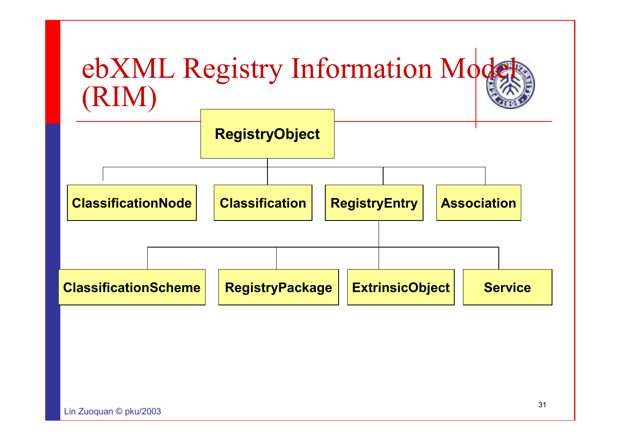![](_page_30_Figure_0.jpeg)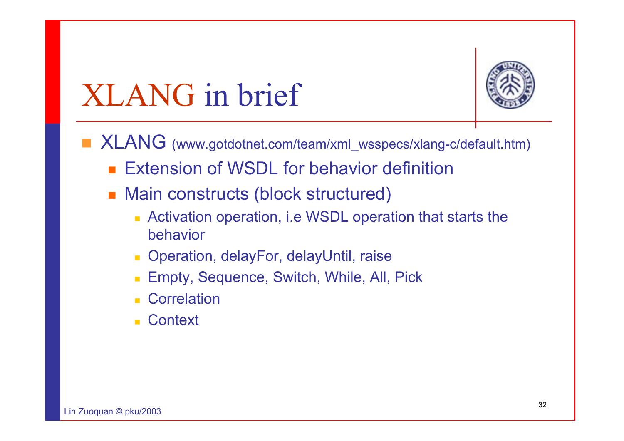# XLANG in brief

![](_page_31_Picture_1.jpeg)

- XLANG (www.gotdotnet.com/team/xml\_wsspecs/xlang-c/default.htm)
	- **Extension of WSDL for behavior definition**
	- Main constructs (block structured)
		- Activation operation, i.e WSDL operation that starts the behavior
		- Operation, delayFor, delayUntil, raise
		- Empty, Sequence, Switch, While, All, Pick
		- **Correlation**
		- **Context**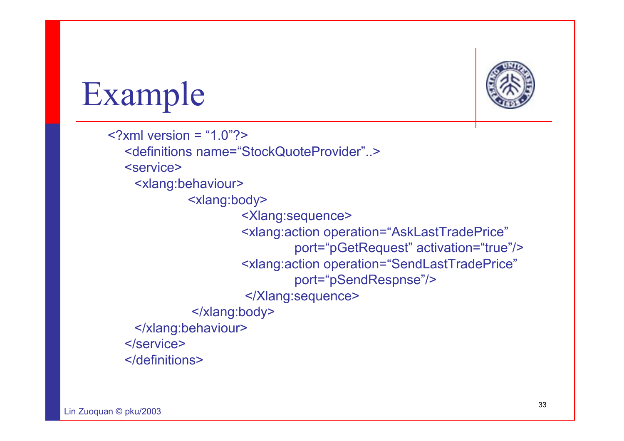![](_page_32_Picture_0.jpeg)

# Example

 $\langle$  2xml version = "1.0"?> <definitions name="StockQuoteProvider"..> <service><xlang:behaviour> <xlang:body> <Xlang:sequence> <xlang:action operation="AskLastTradePrice" port="pGetRequest" activation="true"/> <xlang:action operation="SendLastTradePrice" port="pSendRespnse"/> </Xlang:sequence> </xlang:body> </xlang:behaviour> </service></definitions>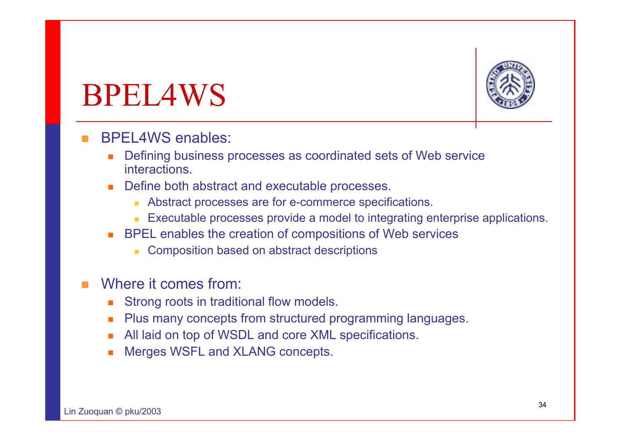## BPEL4WS

![](_page_33_Picture_1.jpeg)

#### T. BPEL4WS enables:

- u, Defining business processes as coordinated sets of Web service interactions.
- $\mathcal{L}_{\mathcal{A}}$  Define both abstract and executable processes.
	- Abstract processes are for e-commerce specifications.
	- Executable processes provide a model to integrating enterprise applications.
- BPEL enables the creation of compositions of Web services
	- Composition based on abstract descriptions
- F. Where it comes from:
	- П Strong roots in traditional flow models.
	- П Plus many concepts from structured programming languages.
	- П All laid on top of WSDL and core XML specifications.
	- П Merges WSFL and XLANG concepts.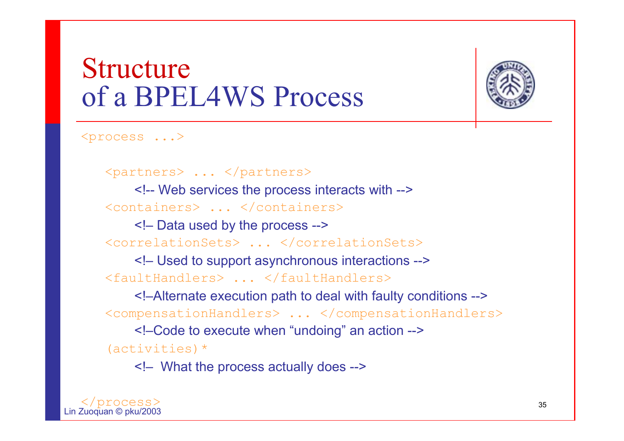#### **Structure** of a BPEL4WS Process

![](_page_34_Picture_1.jpeg)

<process ...>

<partners> ... </partners>

<!-- Web services the process interacts with --> <containers> ... </containers>

<!– Data used by the process -->

<correlationSets> ... </correlationSets>

<!– Used to support asynchronous interactions --> <faultHandlers> ... </faultHandlers>

<!–Alternate execution path to deal with faulty conditions --> <compensationHandlers> ... </compensationHandlers>

<!–Code to execute when "undoing" an action --> (activities)\*

<!– What the process actually does -->

![](_page_34_Picture_11.jpeg)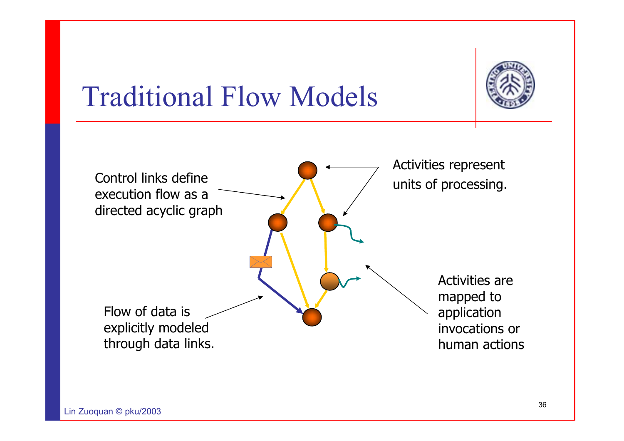![](_page_35_Picture_0.jpeg)

#### Traditional Flow Models

![](_page_35_Figure_2.jpeg)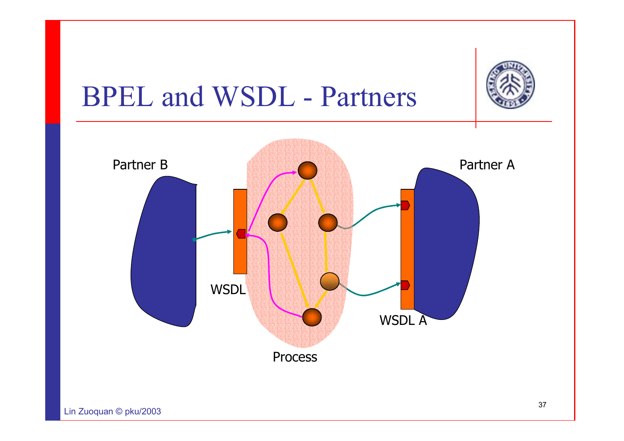![](_page_36_Picture_0.jpeg)

#### BPEL and WSDL - Partners

![](_page_36_Figure_2.jpeg)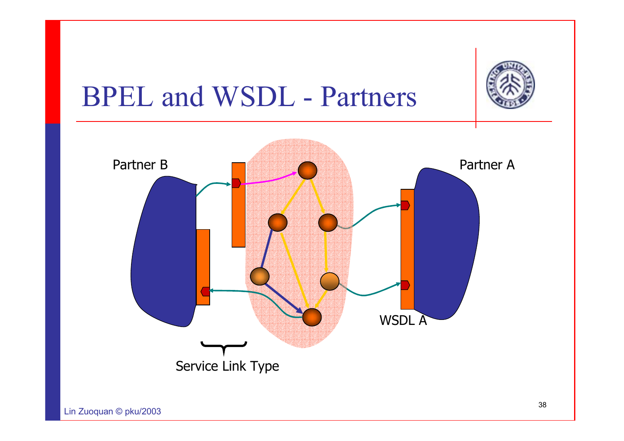![](_page_37_Picture_0.jpeg)

#### BPEL and WSDL - Partners

![](_page_37_Figure_2.jpeg)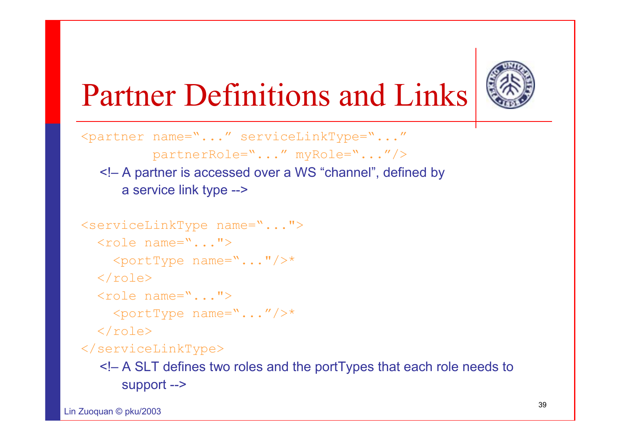![](_page_38_Picture_0.jpeg)

# Partner Definitions and Links

<partner name="..." serviceLinkType="..." partnerRole="..." myRole="..."/> <!– A partner is accessed over a WS "channel", defined by a service link type -->

```
<serviceLinkType name="...">
  \langlerole name="...">
     \langleportType name="..."/>*
  \langle role>
  \langlerole name="...">
     \langleportType name="..."/>*
  \langlerole\rangle</serviceLinkType>
```
<!– A SLT defines two roles and the portTypes that each role needs to support -->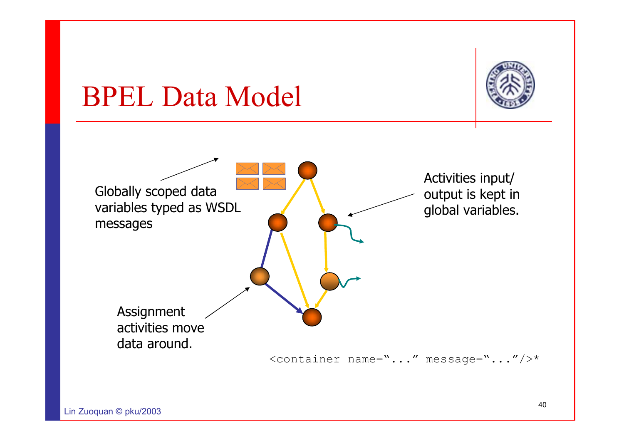![](_page_39_Picture_0.jpeg)

#### BPEL Data Model

![](_page_39_Figure_2.jpeg)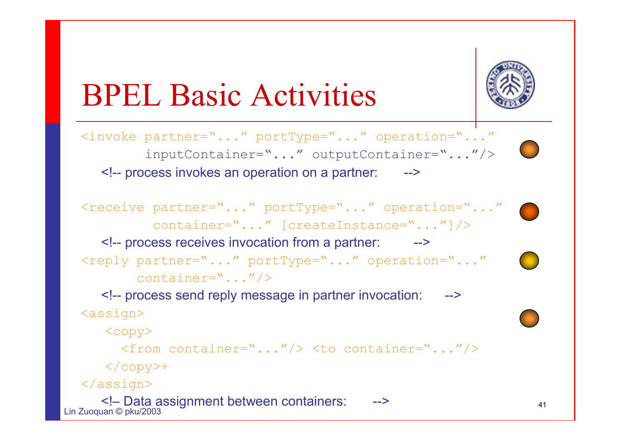![](_page_40_Picture_0.jpeg)

# BPEL Basic Activities

<invoke partner="..." portType="..." operation="..." inputContainer="..." outputContainer="..."/> <!-- process invokes an operation on a partner: -->

<receive partner="..." portType="..." operation="..." container="..." [createInstance="..."]/> <!-- process receives invocation from a partner: --> <reply partner="..." portType="..." operation="..." container="..."/>

<!-- process send reply message in partner invocation: -->  $<sub>assign</sub>$ </sub>

 $\langle$ copy $\rangle$ 

<from container="..."/> <to container="..."/>

 $\langle$  copy $>$ +

</assign>

 $L: \mathbb{Z} \longrightarrow \mathbb{Z}$  and  $R$ <! – Data assignment between containers: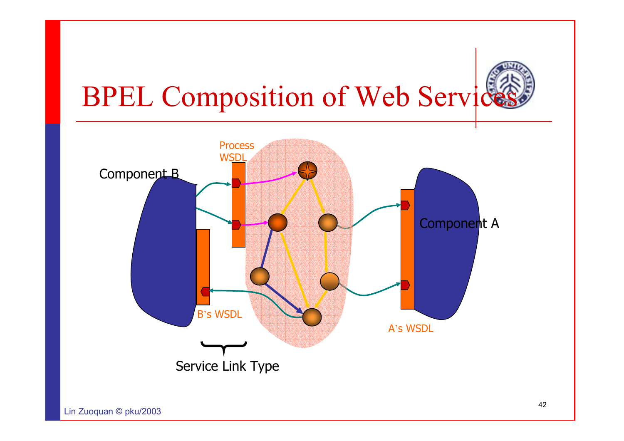![](_page_41_Picture_0.jpeg)

#### BPEL Composition of Web Servic

![](_page_41_Figure_2.jpeg)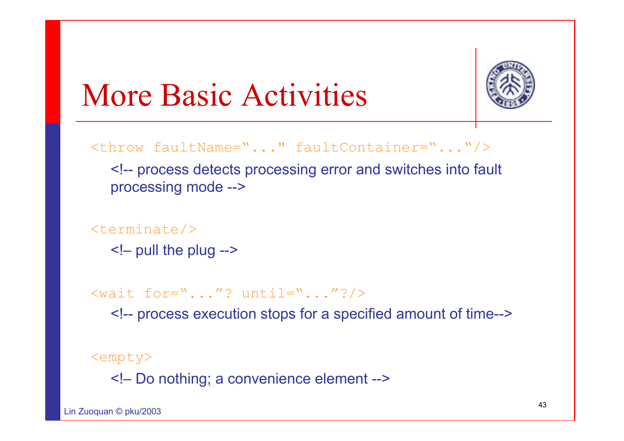![](_page_42_Picture_0.jpeg)

# More Basic Activities

<throw faultName="..." faultContainer="..."/>

<!-- process detects processing error and switches into fault processing mode -->

 $\langle\texttt{terminate}\rangle$ 

<!– pull the plug -->

 $\langle \text{wait for}^{-1}. \ldots "? \text{until}^{-1}. \ldots "? \rangle$ 

<!-- process execution stops for a specified amount of time-->

<empty>

<!– Do nothing; a convenience element -->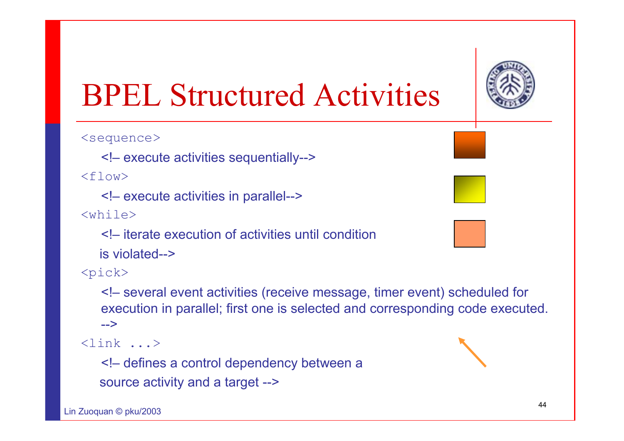![](_page_43_Picture_0.jpeg)

# BPEL Structured Activities

<sequence>

<!– execute activities sequentially-->

 $<$ flow>

<!– execute activities in parallel-->

 $<$ while>

<!– iterate execution of activities until condition is violated-->

 $<$ pick $>$ 

<!– several event activities (receive message, timer event) scheduled for execution in parallel; first one is selected and corresponding code executed. -->

<link ...>

<!– defines a control dependency between a source activity and a target -->

![](_page_43_Picture_13.jpeg)

![](_page_43_Figure_14.jpeg)

![](_page_43_Picture_15.jpeg)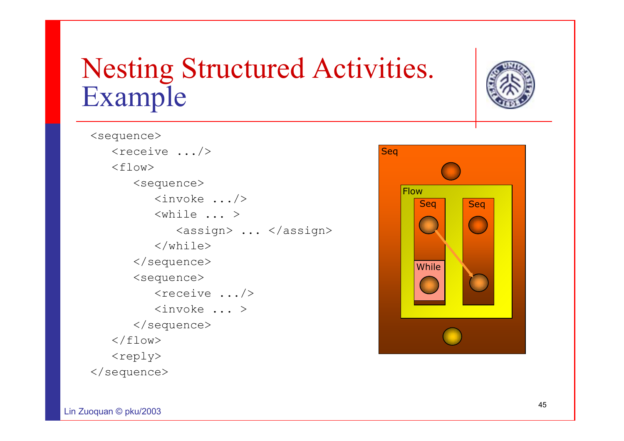#### Nesting Structured Activities. Example

![](_page_44_Picture_1.jpeg)

<sequence>  $\langle$ receive .../>  $<$ flow> <sequence> <invoke .../> <while ... ><assign> ... </assign>  $\langle$ /while> </sequence> <sequence> <receive .../> <invoke ... ></sequence>  $\langle$ /flow> <reply> </sequence>

![](_page_44_Picture_3.jpeg)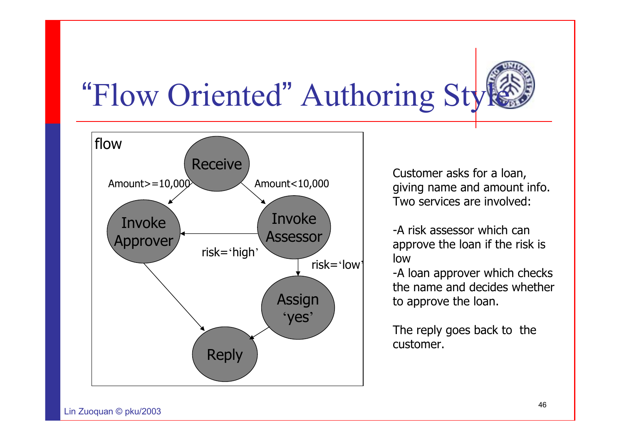![](_page_45_Picture_0.jpeg)

# "Flow Oriented" Authoring Style

![](_page_45_Figure_2.jpeg)

Customer asks for a loan, giving name and amount info. Two services are involved:

-A risk assessor which can approve the loan if the risk is low

-A loan approver which checks the name and decides whether to approve the loan.

The reply goes back to the customer.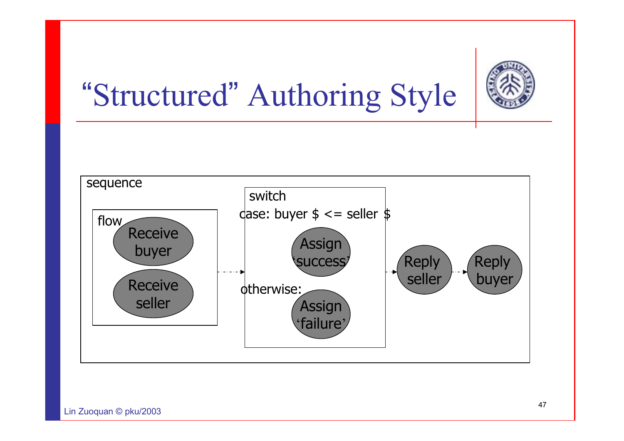![](_page_46_Picture_0.jpeg)

# "Structured" Authoring Style

![](_page_46_Figure_2.jpeg)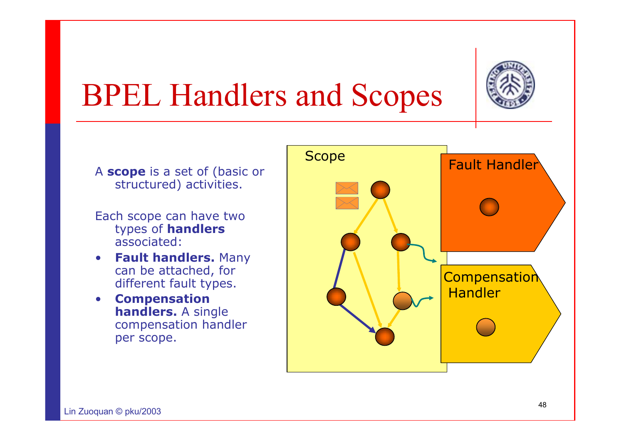![](_page_47_Picture_0.jpeg)

# BPEL Handlers and Scopes

- A **scope** is a set of (basic or structured) activities.
- Each scope can have two types of **handlers** associated:
- • **Fault handlers.** Many can be attached, for different fault types.
- • **Compensation handlers.** A single compensation handler per scope.

![](_page_47_Figure_6.jpeg)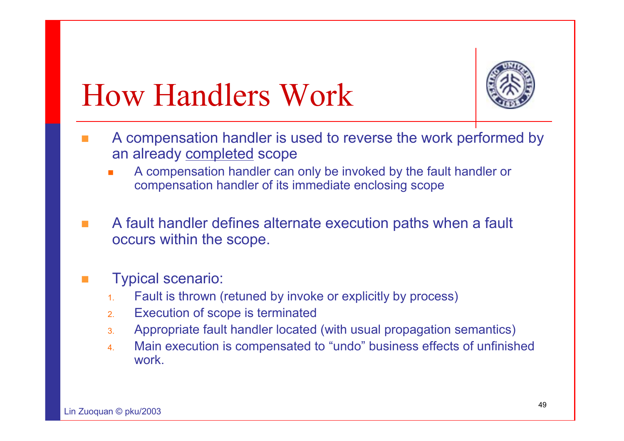![](_page_48_Picture_0.jpeg)

## How Handlers Work

- T. A compensation handler is used to reverse the work performed by an already completed scope
	- П A compensation handler can only be invoked by the fault handler or compensation handler of its immediate enclosing scope
- A fault handler defines alternate execution paths when a fault occurs within the scope.

#### T. Typical scenario:

- 1.Fault is thrown (retuned by invoke or explicitly by process)
- 2.Execution of scope is terminated
- 3.Appropriate fault handler located (with usual propagation semantics)
- 4. Main execution is compensated to "undo" business effects of unfinished work.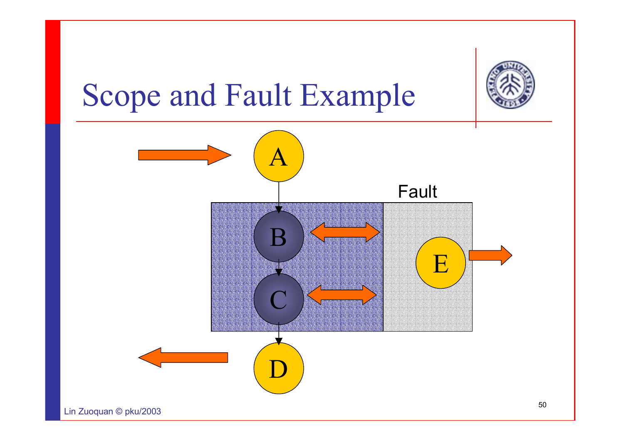![](_page_49_Picture_0.jpeg)

## Scope and Fault Example

![](_page_49_Figure_2.jpeg)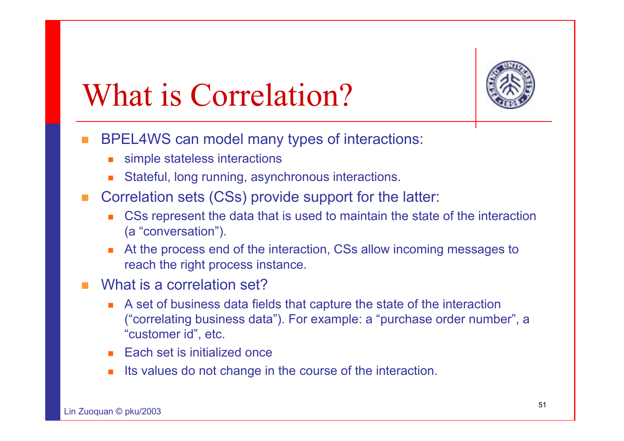![](_page_50_Picture_0.jpeg)

# What is Correlation?

- T. BPEL4WS can model many types of interactions:
	- П simple stateless interactions
	- П Stateful, long running, asynchronous interactions.
- F. Correlation sets (CSs) provide support for the latter:
	- u, CSs represent the data that is used to maintain the state of the interaction (a "conversation").
	- ▉ At the process end of the interaction, CSs allow incoming messages to reach the right process instance.
- $\mathcal{L}_{\mathcal{A}}$ What is a correlation set?
	- П A set of business data fields that capture the state of the interaction ("correlating business data"). For example: a "purchase order number", a "customer id", etc.
	- Each set is initialized once
	- П Its values do not change in the course of the interaction.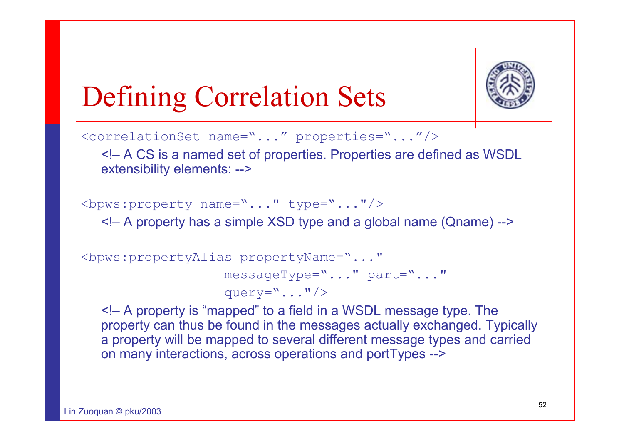![](_page_51_Picture_0.jpeg)

#### Defining Correlation Sets

<correlationSet name="..." properties="..."/>

<!– A CS is a named set of properties. Properties are defined as WSDL extensibility elements: -->

 $\langle$ bpws:property name="..." type="..."/>

<!– A property has a simple XSD type and a global name (Qname) -->

```
<bpws:propertyAlias propertyName="..."
                        messageType="..." part="..."
                        query=\cdot \cdot \cdot...\cdot \cdot \cdot
```
<!– A property is "mapped" to a field in a WSDL message type. The property can thus be found in the messages actually exchanged. Typically a property will be mapped to several different message types and carried on many interactions, across operations and portTypes -->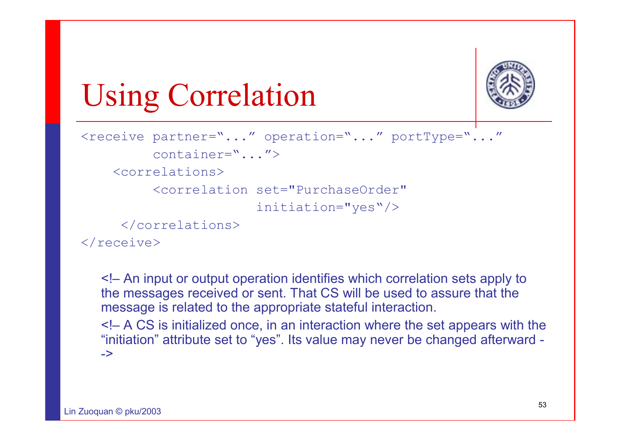![](_page_52_Picture_0.jpeg)

# Using Correlation

```
<receive partner="..." operation="..." portType="..."
         container="..."><correlations><correlation set="PurchaseOrder" initiation="yes"/>
     </correlations>
```
 $\langle$ /receive $\rangle$ 

<!– An input or output operation identifies which correlation sets apply to the messages received or sent. That CS will be used to assure that the message is related to the appropriate stateful interaction.

<!– A CS is initialized once, in an interaction where the set appears with the "initiation" attribute set to "yes". Its value may never be changed afterward - ->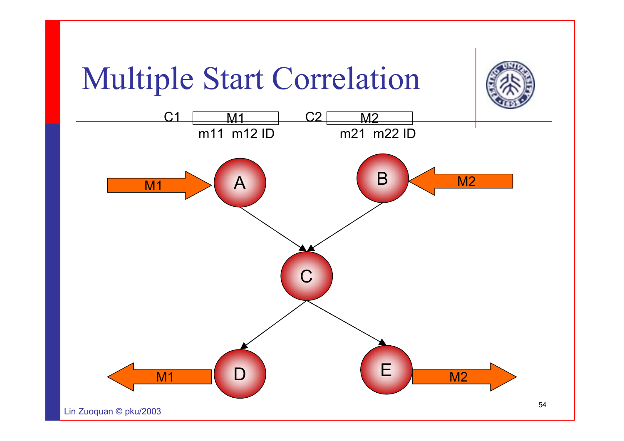![](_page_53_Figure_0.jpeg)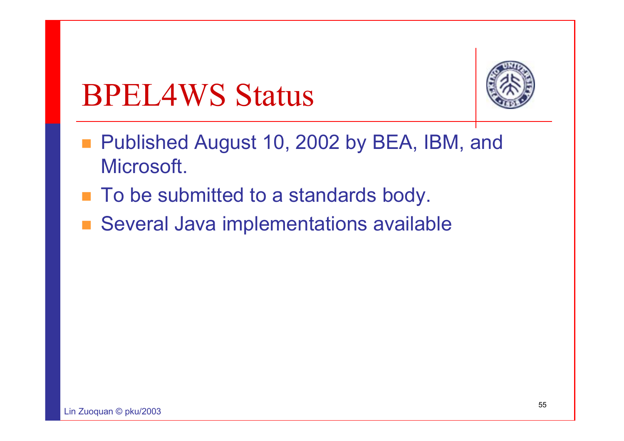### BPEL4WS Status

![](_page_54_Picture_1.jpeg)

- Published August 10, 2002 by BEA, IBM, and Microsoft.
- To be submitted to a standards body.
- Several Java implementations available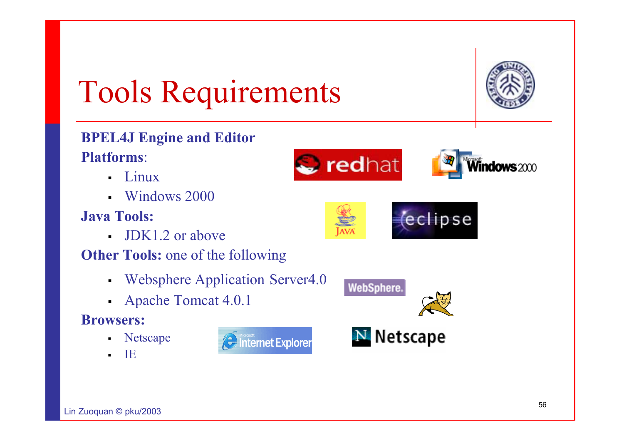# Tools Requirements

![](_page_55_Picture_1.jpeg)

**dows** 2000

#### **BPEL4J Engine and Editor Platforms**:

- $\blacksquare$ Linux
- Windows 2000

#### **Java Tools:**

- JDK1.2 or above
- **Other Tools:** one of the following
	- n Websphere Application Server4.0
	- $\blacksquare$ Apache Tomcat 4.0.1

#### **Browsers:**

 $L: \mathbb{Z} \longrightarrow \mathbb{Z}$  and  $R$ 

- $\blacksquare$ Netscape
- п IE

![](_page_55_Picture_13.jpeg)

![](_page_55_Picture_14.jpeg)

redhat

![](_page_55_Picture_15.jpeg)

![](_page_55_Picture_16.jpeg)